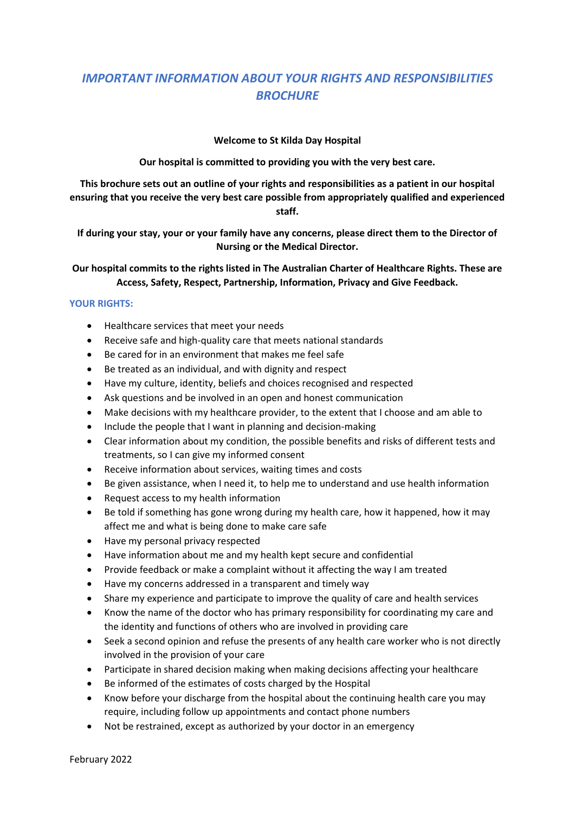## *IMPORTANT INFORMATION ABOUT YOUR RIGHTS AND RESPONSIBILITIES BROCHURE*

## **Welcome to St Kilda Day Hospital**

**Our hospital is committed to providing you with the very best care.**

**This brochure sets out an outline of your rights and responsibilities as a patient in our hospital ensuring that you receive the very best care possible from appropriately qualified and experienced staff.**

**If during your stay, your or your family have any concerns, please direct them to the Director of Nursing or the Medical Director.**

**Our hospital commits to the rights listed in The Australian Charter of Healthcare Rights. These are Access, Safety, Respect, Partnership, Information, Privacy and Give Feedback.**

## **YOUR RIGHTS:**

- Healthcare services that meet your needs
- Receive safe and high-quality care that meets national standards
- Be cared for in an environment that makes me feel safe
- Be treated as an individual, and with dignity and respect
- Have my culture, identity, beliefs and choices recognised and respected
- Ask questions and be involved in an open and honest communication
- Make decisions with my healthcare provider, to the extent that I choose and am able to
- Include the people that I want in planning and decision-making
- Clear information about my condition, the possible benefits and risks of different tests and treatments, so I can give my informed consent
- Receive information about services, waiting times and costs
- Be given assistance, when I need it, to help me to understand and use health information
- Request access to my health information
- Be told if something has gone wrong during my health care, how it happened, how it may affect me and what is being done to make care safe
- Have my personal privacy respected
- Have information about me and my health kept secure and confidential
- Provide feedback or make a complaint without it affecting the way I am treated
- Have my concerns addressed in a transparent and timely way
- Share my experience and participate to improve the quality of care and health services
- Know the name of the doctor who has primary responsibility for coordinating my care and the identity and functions of others who are involved in providing care
- Seek a second opinion and refuse the presents of any health care worker who is not directly involved in the provision of your care
- Participate in shared decision making when making decisions affecting your healthcare
- Be informed of the estimates of costs charged by the Hospital
- Know before your discharge from the hospital about the continuing health care you may require, including follow up appointments and contact phone numbers
- Not be restrained, except as authorized by your doctor in an emergency